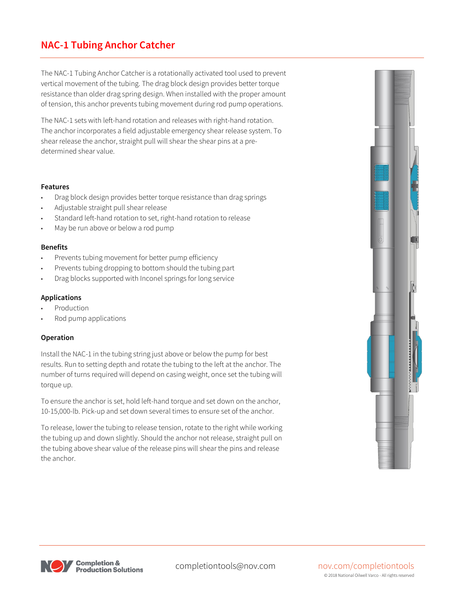# **NAC-1 Tubing Anchor Catcher**

The NAC-1 Tubing Anchor Catcher is a rotationally activated tool used to prevent vertical movement of the tubing. The drag block design provides better torque resistance than older drag spring design. When installed with the proper amount of tension, this anchor prevents tubing movement during rod pump operations.

The NAC-1 sets with left-hand rotation and releases with right-hand rotation. The anchor incorporates a field adjustable emergency shear release system. To shear release the anchor, straight pull will shear the shear pins at a predetermined shear value.

#### **Features**

- Drag block design provides better torque resistance than drag springs
- Adjustable straight pull shear release
- Standard left-hand rotation to set, right-hand rotation to release
- May be run above or below a rod pump

## **Benefits**

- Prevents tubing movement for better pump efficiency
- Prevents tubing dropping to bottom should the tubing part
- Drag blocks supported with Inconel springs for long service

### **Applications**

- **Production**
- Rod pump applications

#### **Operation**

Install the NAC-1 in the tubing string just above or below the pump for best results. Run to setting depth and rotate the tubing to the left at the anchor. The number of turns required will depend on casing weight, once set the tubing will torque up.

To ensure the anchor is set, hold left-hand torque and set down on the anchor, 10-15,000-lb. Pick-up and set down several times to ensure set of the anchor.

To release, lower the tubing to release tension, rotate to the right while working the tubing up and down slightly. Should the anchor not release, straight pull on the tubing above shear value of the release pins will shear the pins and release the anchor.





#### completiontools@nov.com nov.com/completiontools © 2018 National Oilwell Varco - All rights reserved